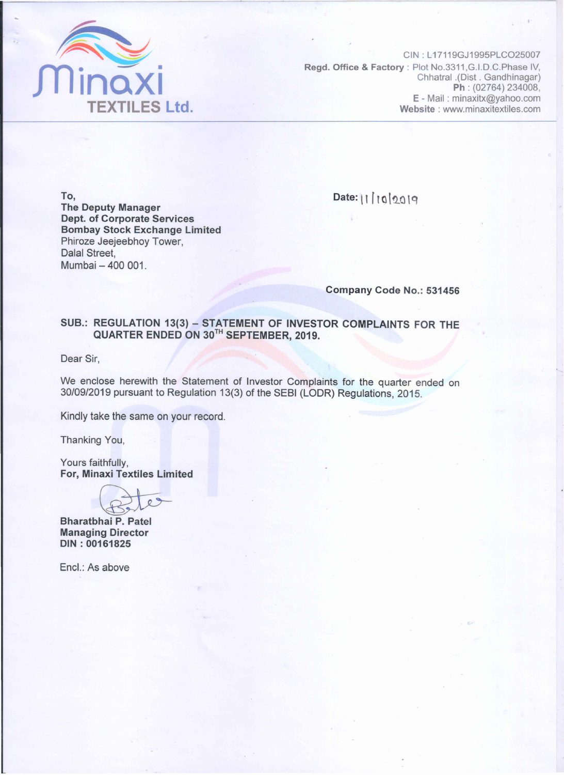

CIN: L17119GJ1995PLCO25007 Regd. Office & Factory : Plot No.3311, G.I.D.C. Phase IV, Chhatral .(Dist . Gandhinagar) Ph : (02764) 234008, E-Mail: minaxitx@yahoo.com Website: www.minaxitextiles.com

To, The Deputy Manager Dept. of Corporate Services Bombay Stock Exchange Limited Phiroze Jeejeebhoy Tower, Dalal Street, Mumbai - 400 001.

Date: | | | 10 | 20 19

Company Code No.: 531456

## SUB.: REGULATION 13(3) - STATEMENT OF INVESTOR COMPLAINTS FOR THE QUARTER ENDED ON 30TH SEPTEMBER, 2019.

Dear Sir,

We enclose herewith the Statement of Investor Complaints for the quarter ended on 30/09/2019 pursuant to Regulation 13(3) of the SEBI (LODR) Regulations, 2015.

Kindly take the same on your record.

Thanking You,

Yours faithfully, For, Minaxi Textiles Limited Yours faithfully,<br>For, Minaxi Textiles Limited<br>Bharatbhai P. Patel

Managing Director DIN: 00161825

Encl.: As above